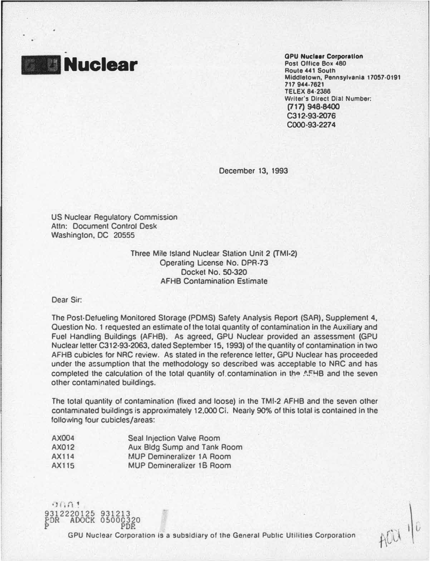

**Nuclear Corporation**<br>Post Office Box 480<br>Route 441 South Post Office Box 480 Route 441 South Middletown, Pennsylvania 17057·0191 717 944·7621 TELEX 84·2386 Writer's Direct Dial Number: (717) 948-8400 C312·93·2076 C000-93·2274

ACU

December 13, 1993

US Nuclear Regulatory Commission Attn: Document Control Desk Washington, DC 20555

> Three Mile Island Nuclear Station Unit 2 (TMI·2) Operating Ucense No. DPR-73 Docket No. 50·320 AFHB Contamination Estimate

Dear Sir:

9312220125 931213 PDR AOOCK 05000320

 $9001$ 

The Post-Defueling Monitored Storage (PDMS) Safety Analysis Report (SAR), Supplement 4, Question No. 1 requested an estimate of the total quantity of contamination In the Auxiliary and Fuel Handling Buildings (AFHB). As agreed, GPU Nuclear provided an assessment {GPU Nuclear letter C312·93·2063, dated September 15, 1993) of the quantity of contamination in two AFHB cubicles for NRC review. As stated in the reference letter, GPU Nuclear has proceeded under the a�sumption that the methodology so described was acceptable to NRC and has completed the calculation of the total quantity of contamination in the AFHB and the seven other contaminated buildings.

The total quantity of contamination (fixed and loose) in the TMI·2 AFHB and the seven other contaminated buildings is approximately 12,000 Ci. Nearly 90% of this total is contained in the following four cubicles/areas:

| AX004        | <b>Seal Injection Valve Room</b>   |
|--------------|------------------------------------|
| <b>AX012</b> | <b>Aux Bldg Sump and Tank Room</b> |
| AX114        | <b>MUP Demineralizer 1A Room</b>   |
| AX115        | <b>MUP Demineralizer 16 Room</b>   |

PD<sub>R</sub> GPU Nuclear Corporation Is a subsidiary of the General Public Utilities Corporation